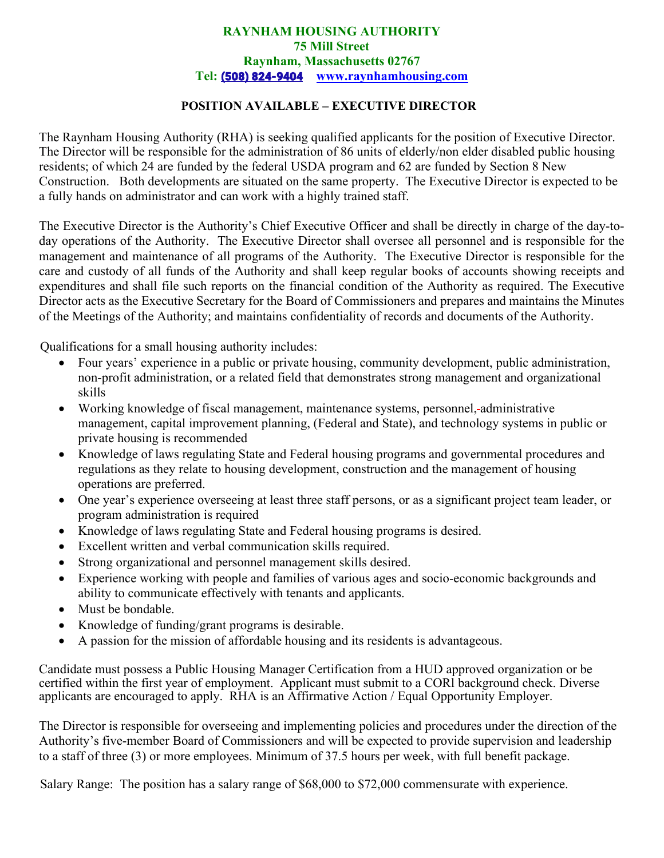## **RAYNHAM HOUSING AUTHORITY 75 Mill Street Raynham, Massachusetts 02767 Tel:** [\(508\) 824-9404](https://www.google.com/search?q=raynham+housing+authority&rlz=1C1GCEB_enUS919US920&oq=raynham+housing&aqs=chrome.0.0i355i512j46i175i199i512j69i57j0i22i30i457j0i22i30l3.5038j0j7&sourceid=chrome&ie=UTF-8) **[www.raynhamhousing.com](http://www.raynhamhousing.com/)**

## **POSITION AVAILABLE – EXECUTIVE DIRECTOR**

The Raynham Housing Authority (RHA) is seeking qualified applicants for the position of Executive Director. The Director will be responsible for the administration of 86 units of elderly/non elder disabled public housing residents; of which 24 are funded by the federal USDA program and 62 are funded by Section 8 New Construction. Both developments are situated on the same property. The Executive Director is expected to be a fully hands on administrator and can work with a highly trained staff.

The Executive Director is the Authority's Chief Executive Officer and shall be directly in charge of the day-today operations of the Authority. The Executive Director shall oversee all personnel and is responsible for the management and maintenance of all programs of the Authority. The Executive Director is responsible for the care and custody of all funds of the Authority and shall keep regular books of accounts showing receipts and expenditures and shall file such reports on the financial condition of the Authority as required. The Executive Director acts as the Executive Secretary for the Board of Commissioners and prepares and maintains the Minutes of the Meetings of the Authority; and maintains confidentiality of records and documents of the Authority.

Qualifications for a small housing authority includes:

- Four years' experience in a public or private housing, community development, public administration, non-profit administration, or a related field that demonstrates strong management and organizational skills
- Working knowledge of fiscal management, maintenance systems, personnel, administrative management, capital improvement planning, (Federal and State), and technology systems in public or private housing is recommended
- Knowledge of laws regulating State and Federal housing programs and governmental procedures and regulations as they relate to housing development, construction and the management of housing operations are preferred.
- One year's experience overseeing at least three staff persons, or as a significant project team leader, or program administration is required
- Knowledge of laws regulating State and Federal housing programs is desired.
- Excellent written and verbal communication skills required.
- Strong organizational and personnel management skills desired.
- Experience working with people and families of various ages and socio-economic backgrounds and ability to communicate effectively with tenants and applicants.
- Must be bondable.
- Knowledge of funding/grant programs is desirable.
- A passion for the mission of affordable housing and its residents is advantageous.

Candidate must possess a Public Housing Manager Certification from a HUD approved organization or be certified within the first year of employment. Applicant must submit to a CORl background check. Diverse applicants are encouraged to apply. RHA is an Affirmative Action / Equal Opportunity Employer.

The Director is responsible for overseeing and implementing policies and procedures under the direction of the Authority's five-member Board of Commissioners and will be expected to provide supervision and leadership to a staff of three (3) or more employees. Minimum of 37.5 hours per week, with full benefit package.

Salary Range: The position has a salary range of \$68,000 to \$72,000 commensurate with experience.